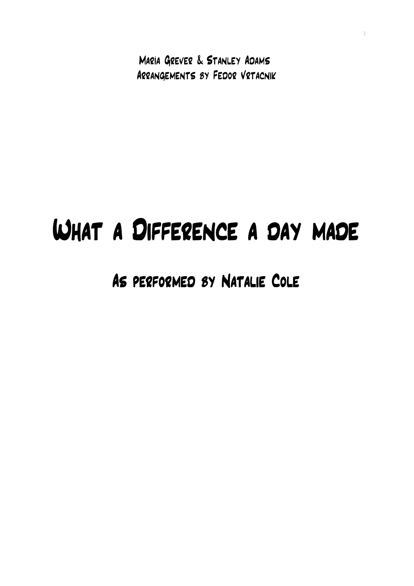María Grever & Stanley Adams Arrangements by Fedor Vrtacnik 1

## What a Difference a day made

## As performed by Natalie Cole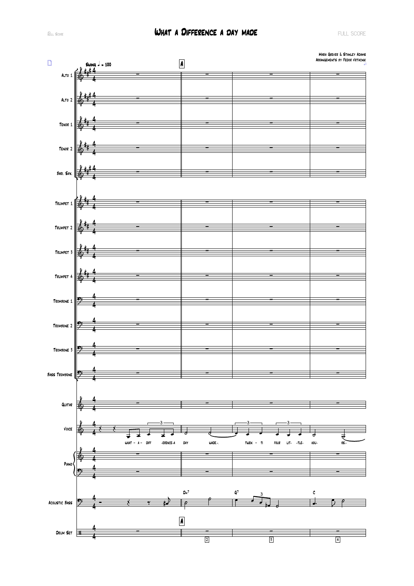## **EXLECTED SCORE A DIFFERENCE A DAY MADE Exercía de la proporció de la proporció de la proporció de la proporció**

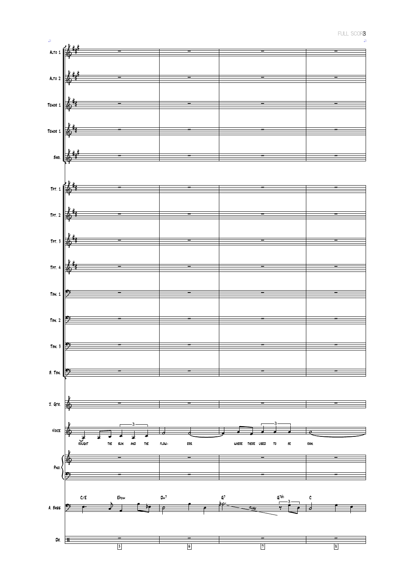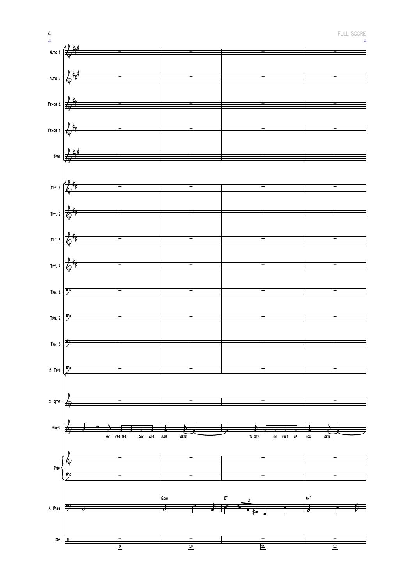